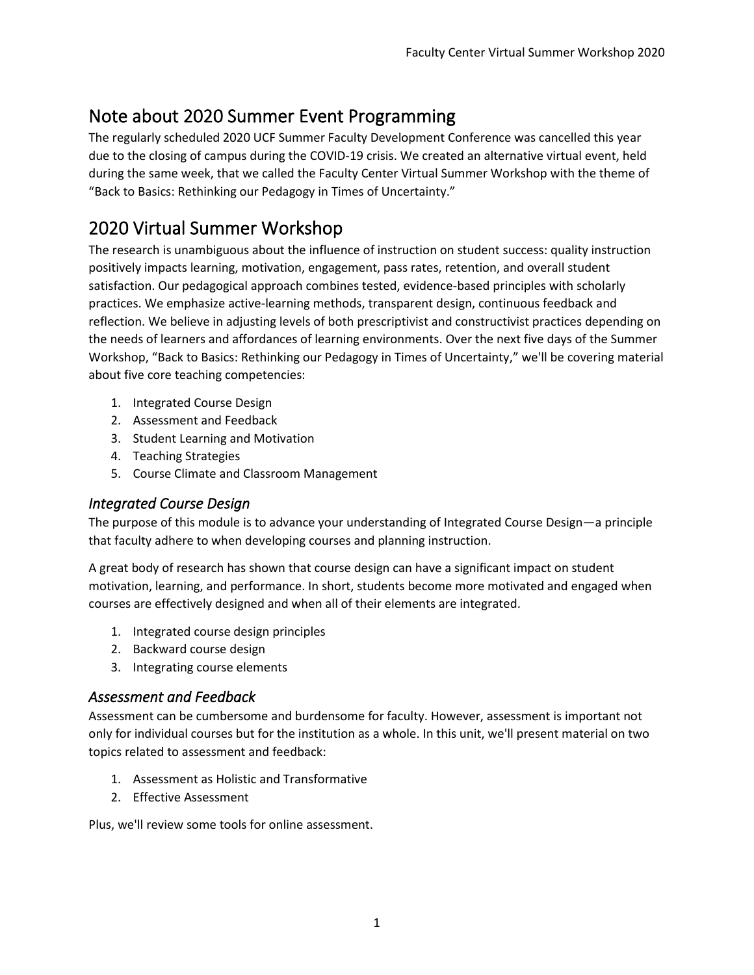# Note about 2020 Summer Event Programming

The regularly scheduled 2020 UCF Summer Faculty Development Conference was cancelled this year due to the closing of campus during the COVID-19 crisis. We created an alternative virtual event, held during the same week, that we called the Faculty Center Virtual Summer Workshop with the theme of "Back to Basics: Rethinking our Pedagogy in Times of Uncertainty."

# 2020 Virtual Summer Workshop

The research is unambiguous about the influence of instruction on student success: quality instruction positively impacts learning, motivation, engagement, pass rates, retention, and overall student satisfaction. Our pedagogical approach combines tested, evidence-based principles with scholarly practices. We emphasize active-learning methods, transparent design, continuous feedback and reflection. We believe in adjusting levels of both prescriptivist and constructivist practices depending on the needs of learners and affordances of learning environments. Over the next five days of the Summer Workshop, "Back to Basics: Rethinking our Pedagogy in Times of Uncertainty," we'll be covering material about five core teaching competencies:

- 1. Integrated Course Design
- 2. Assessment and Feedback
- 3. Student Learning and Motivation
- 4. Teaching Strategies
- 5. Course Climate and Classroom Management

### *Integrated Course Design*

The purpose of this module is to advance your understanding of Integrated Course Design—a principle that faculty adhere to when developing courses and planning instruction.

A great body of research has shown that course design can have a significant impact on student motivation, learning, and performance. In short, students become more motivated and engaged when courses are effectively designed and when all of their elements are integrated.

- 1. Integrated course design principles
- 2. Backward course design
- 3. Integrating course elements

### *Assessment and Feedback*

Assessment can be cumbersome and burdensome for faculty. However, assessment is important not only for individual courses but for the institution as a whole. In this unit, we'll present material on two topics related to assessment and feedback:

- 1. Assessment as Holistic and Transformative
- 2. Effective Assessment

Plus, we'll review some tools for online assessment.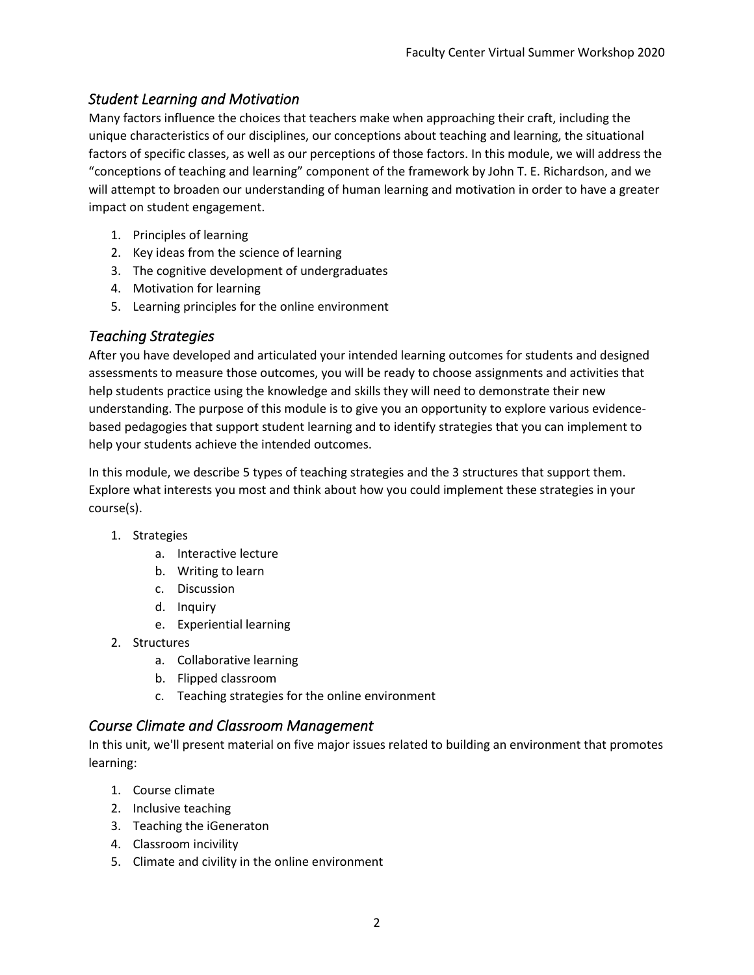### *Student Learning and Motivation*

Many factors influence the choices that teachers make when approaching their craft, including the unique characteristics of our disciplines, our conceptions about teaching and learning, the situational factors of specific classes, as well as our perceptions of those factors. In this module, we will address the "conceptions of teaching and learning" component of the framework by John T. E. Richardson, and we will attempt to broaden our understanding of human learning and motivation in order to have a greater impact on student engagement.

- 1. Principles of learning
- 2. Key ideas from the science of learning
- 3. The cognitive development of undergraduates
- 4. Motivation for learning
- 5. Learning principles for the online environment

#### *Teaching Strategies*

After you have developed and articulated your intended learning outcomes for students and designed assessments to measure those outcomes, you will be ready to choose assignments and activities that help students practice using the knowledge and skills they will need to demonstrate their new understanding. The purpose of this module is to give you an opportunity to explore various evidencebased pedagogies that support student learning and to identify strategies that you can implement to help your students achieve the intended outcomes.

In this module, we describe 5 types of teaching strategies and the 3 structures that support them. Explore what interests you most and think about how you could implement these strategies in your course(s).

- 1. Strategies
	- a. Interactive lecture
	- b. Writing to learn
	- c. Discussion
	- d. Inquiry
	- e. Experiential learning
- 2. Structures
	- a. Collaborative learning
	- b. Flipped classroom
	- c. Teaching strategies for the online environment

#### *Course Climate and Classroom Management*

In this unit, we'll present material on five major issues related to building an environment that promotes learning:

- 1. Course climate
- 2. Inclusive teaching
- 3. Teaching the iGeneraton
- 4. Classroom incivility
- 5. Climate and civility in the online environment